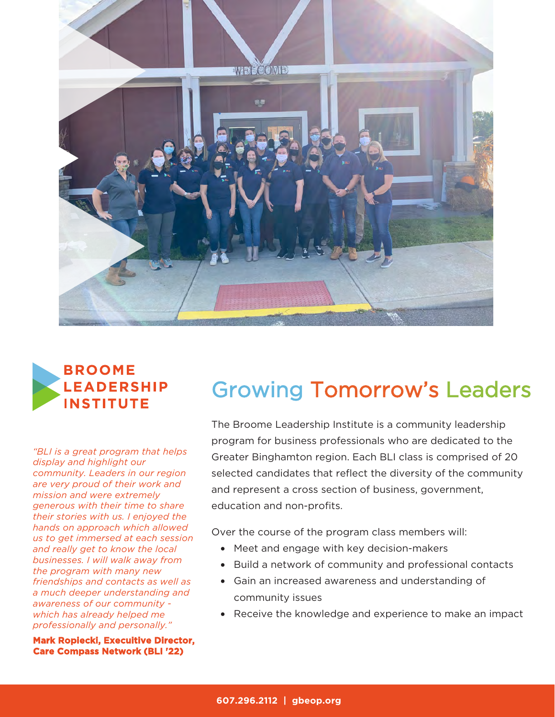



*"BLI is a great program that helps display and highlight our community. Leaders in our region are very proud of their work and mission and were extremely generous with their time to share their stories with us. I enjoyed the hands on approach which allowed us to get immersed at each session and really get to know the local businesses. I will walk away from the program with many new friendships and contacts as well as a much deeper understanding and awareness of our community which has already helped me professionally and personally."*

**Mark Ropiecki, Execuitive Director, Care Compass Network (BLI '22)**

# Growing Tomorrow's Leaders

The Broome Leadership Institute is a community leadership program for business professionals who are dedicated to the Greater Binghamton region. Each BLI class is comprised of 20 selected candidates that reflect the diversity of the community and represent a cross section of business, government, education and non-profits.

Over the course of the program class members will:

- Meet and engage with key decision-makers
- Build a network of community and professional contacts
- Gain an increased awareness and understanding of community issues
- Receive the knowledge and experience to make an impact